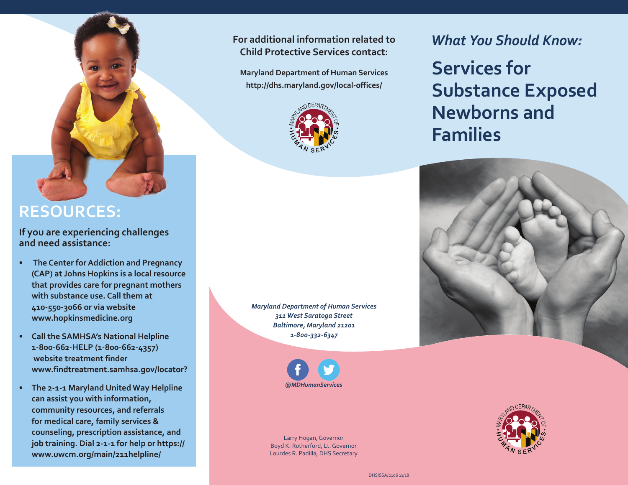## **RESOURCES:**

**If you are experiencing challenges and need assistance:**

- **The Center for Addiction and Pregnancy (CAP) at Johns Hopkins is a local resource that provides care for pregnant mothers with substance use. Call them at 410-550-3066 or via website www.hopkinsmedicine.org**
- **• Call the SAMHSA's National Helpline 1-800-662-HELP (1-800-662-4357) website treatment finder www.findtreatment.samhsa.gov/locator?**
- **• The 2-1-1 Maryland United Way Helpline can assist you with information, community resources, and referrals for medical care, family services & counseling, prescription assistance, and job training. Dial 2-1-1 for help or https:// www.uwcm.org/main/211helpline/**

**For additional information related to** *What You Should Know:* **Child Protective Services contact:**

**Maryland Department of Human Services http://dhs.maryland.gov/local-offices/**



*Maryland Department of Human Services 311 West Saratoga Street Baltimore, Maryland 21201 1-800-332-6347*



Larry Hogan, Governor Boyd K. Rutherford, Lt. Governor Lourdes R. Padilla, DHS Secretary

**Services for Substance Exposed Newborns and Families**





DHS/SSA/2106 11/18